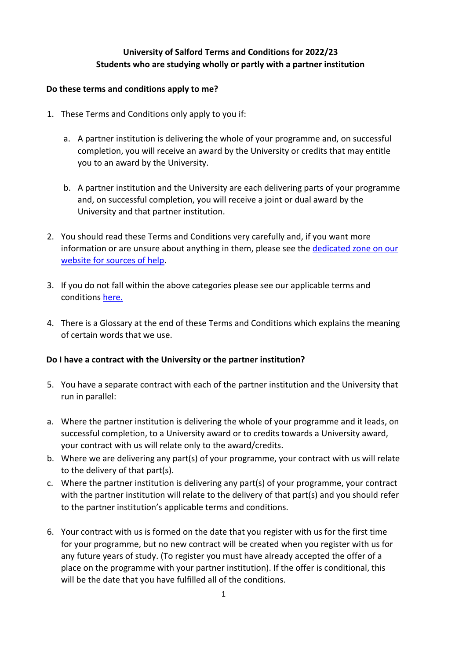# **University of Salford Terms and Conditions for 2022/23 Students who are studying wholly or partly with a partner institution**

#### **Do these terms and conditions apply to me?**

- 1. These Terms and Conditions only apply to you if:
	- a. A partner institution is delivering the whole of your programme and, on successful completion, you will receive an award by the University or credits that may entitle you to an award by the University.
	- b. A partner institution and the University are each delivering parts of your programme and, on successful completion, you will receive a joint or dual award by the University and that partner institution.
- 2. You should read these Terms and Conditions very carefully and, if you want more information or are unsure about anything in them, please see the [dedicated](https://beta.salford.ac.uk/student-terms-and-conditions) [zone on our](https://beta.salford.ac.uk/student-terms-and-conditions) [website](https://beta.salford.ac.uk/student-terms-and-conditions) [for](https://beta.salford.ac.uk/student-terms-and-conditions) [sources](https://beta.salford.ac.uk/student-terms-and-conditions) [of](https://beta.salford.ac.uk/student-terms-and-conditions) [help.](https://beta.salford.ac.uk/student-terms-and-conditions)
- 3. If you do not fall within the above categories please see our applicable terms and conditions [here.](https://beta.salford.ac.uk/student-terms-and-conditions)
- 4. There is a Glossary at the end of these Terms and Conditions which explains the meaning of certain words that we use.

## **Do I have a contract with the University or the partner institution?**

- 5. You have a separate contract with each of the partner institution and the University that run in parallel:
- a. Where the partner institution is delivering the whole of your programme and it leads, on successful completion, to a University award or to credits towards a University award, your contract with us will relate only to the award/credits.
- b. Where we are delivering any part(s) of your programme, your contract with us will relate to the delivery of that part(s).
- c. Where the partner institution is delivering any part(s) of your programme, your contract with the partner institution will relate to the delivery of that part(s) and you should refer to the partner institution's applicable terms and conditions.
- 6. Your contract with us is formed on the date that you register with us for the first time for your programme, but no new contract will be created when you register with us for any future years of study. (To register you must have already accepted the offer of a place on the programme with your partner institution). If the offer is conditional, this will be the date that you have fulfilled all of the conditions.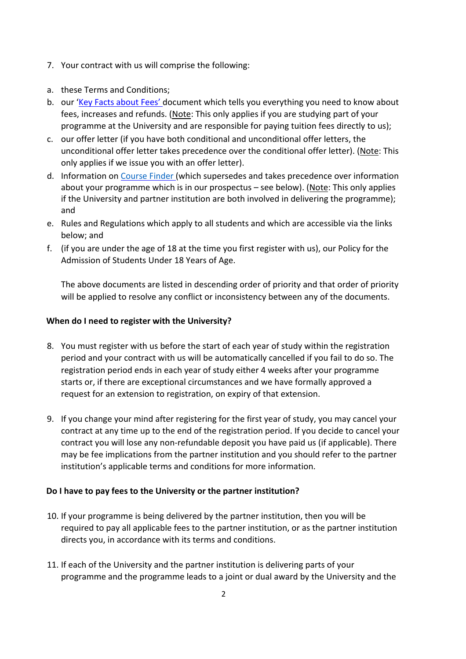- 7. Your contract with us will comprise the following:
- a. these Terms and Conditions;
- b. our ['Key](https://www.salford.ac.uk/student-terms-and-conditions) [Facts](https://www.salford.ac.uk/student-terms-and-conditions) [about](https://www.salford.ac.uk/student-terms-and-conditions) [Fees'](https://www.salford.ac.uk/student-terms-and-conditions) [do](https://www.salford.ac.uk/student-terms-and-conditions)cument which tells you everything you need to know about fees, increases and refunds. (Note: This only applies if you are studying part of your programme at the University and are responsible for paying tuition fees directly to us);
- c. our offer letter (if you have both conditional and unconditional offer letters, the unconditional offer letter takes precedence over the conditional offer letter). (Note: This only applies if we issue you with an offer letter).
- d. Information on [Course](http://www.salford.ac.uk/study/a-z-courses?result_279643_result_page=A) [Finder](http://www.salford.ac.uk/study/a-z-courses?result_279643_result_page=A) [\(](http://www.salford.ac.uk/study/a-z-courses?result_279643_result_page=A)which supersedes and takes precedence over information about your programme which is in our prospectus – see below). (Note: This only applies if the University and partner institution are both involved in delivering the programme); and
- e. Rules and Regulations which apply to all students and which are accessible via the links below; and
- f. (if you are under the age of 18 at the time you first register with us), our Policy for the Admission of Students Under 18 Years of Age.

The above documents are listed in descending order of priority and that order of priority will be applied to resolve any conflict or inconsistency between any of the documents.

## **When do I need to register with the University?**

- 8. You must register with us before the start of each year of study within the registration period and your contract with us will be automatically cancelled if you fail to do so. The registration period ends in each year of study either 4 weeks after your programme starts or, if there are exceptional circumstances and we have formally approved a request for an extension to registration, on expiry of that extension.
- 9. If you change your mind after registering for the first year of study, you may cancel your contract at any time up to the end of the registration period. If you decide to cancel your contract you will lose any non-refundable deposit you have paid us (if applicable). There may be fee implications from the partner institution and you should refer to the partner institution's applicable terms and conditions for more information.

## **Do I have to pay fees to the University or the partner institution?**

- 10. If your programme is being delivered by the partner institution, then you will be required to pay all applicable fees to the partner institution, or as the partner institution directs you, in accordance with its terms and conditions.
- 11. If each of the University and the partner institution is delivering parts of your programme and the programme leads to a joint or dual award by the University and the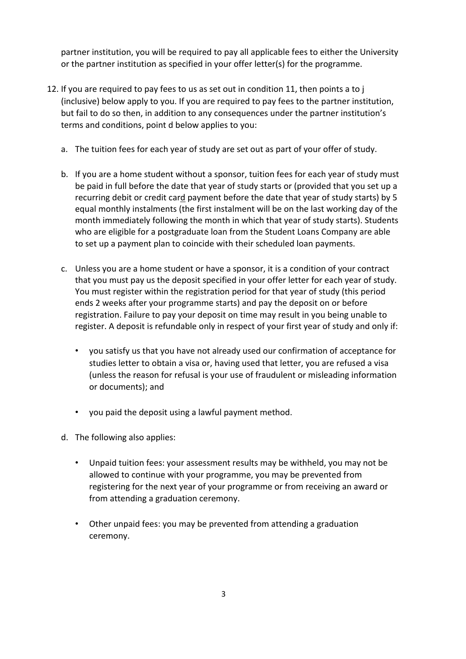partner institution, you will be required to pay all applicable fees to either the University or the partner institution as specified in your offer letter(s) for the programme.

- 12. If you are required to pay fees to us as set out in condition 11, then points a to j (inclusive) below apply to you. If you are required to pay fees to the partner institution, but fail to do so then, in addition to any consequences under the partner institution's terms and conditions, point d below applies to you:
	- a. The tuition fees for each year of study are set out as part of your offer of study.
	- b. If you are a home student without a sponsor, tuition fees for each year of study must be paid in full before the date that year of study starts or (provided that you set up a recurring debit or credit card payment before the date that year of study starts) by 5 equal monthly instalments (the first instalment will be on the last working day of the month immediately following the month in which that year of study starts). Students who are eligible for a postgraduate loan from the Student Loans Company are able to set up a payment plan to coincide with their scheduled loan payments.
	- c. Unless you are a home student or have a sponsor, it is a condition of your contract that you must pay us the deposit specified in your offer letter for each year of study. You must register within the registration period for that year of study (this period ends 2 weeks after your programme starts) and pay the deposit on or before registration. Failure to pay your deposit on time may result in you being unable to register. A deposit is refundable only in respect of your first year of study and only if:
		- you satisfy us that you have not already used our confirmation of acceptance for studies letter to obtain a visa or, having used that letter, you are refused a visa (unless the reason for refusal is your use of fraudulent or misleading information or documents); and
		- you paid the deposit using a lawful payment method.
	- d. The following also applies:
		- Unpaid tuition fees: your assessment results may be withheld, you may not be allowed to continue with your programme, you may be prevented from registering for the next year of your programme or from receiving an award or from attending a graduation ceremony.
		- Other unpaid fees: you may be prevented from attending a graduation ceremony.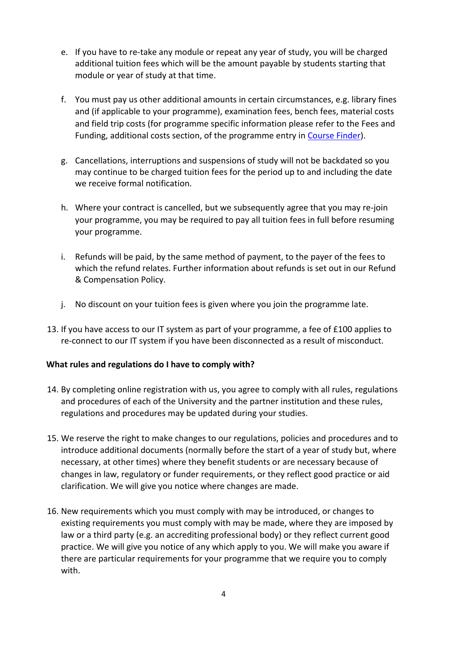- e. If you have to re-take any module or repeat any year of study, you will be charged additional tuition fees which will be the amount payable by students starting that module or year of study at that time.
- f. You must pay us other additional amounts in certain circumstances, e.g. library fines and (if applicable to your programme), examination fees, bench fees, material costs and field trip costs (for programme specific information please refer to the Fees and Funding, additional costs section, of the programme entry in [Course](http://www.salford.ac.uk/study/a-to-z) [Finder\).](http://www.salford.ac.uk/study/a-to-z)
- g. Cancellations, interruptions and suspensions of study will not be backdated so you may continue to be charged tuition fees for the period up to and including the date we receive formal notification.
- h. Where your contract is cancelled, but we subsequently agree that you may re-join your programme, you may be required to pay all tuition fees in full before resuming your programme.
- i. Refunds will be paid, by the same method of payment, to the payer of the fees to which the refund relates. Further information about refunds is set out in our Refund & Compensation Policy.
- j. No discount on your tuition fees is given where you join the programme late.
- 13. If you have access to our IT system as part of your programme, a fee of £100 applies to re-connect to our IT system if you have been disconnected as a result of misconduct.

#### **What rules and regulations do I have to comply with?**

- 14. By completing online registration with us, you agree to comply with all rules, regulations and procedures of each of the University and the partner institution and these rules, regulations and procedures may be updated during your studies.
- 15. We reserve the right to make changes to our regulations, policies and procedures and to introduce additional documents (normally before the start of a year of study but, where necessary, at other times) where they benefit students or are necessary because of changes in law, regulatory or funder requirements, or they reflect good practice or aid clarification. We will give you notice where changes are made.
- 16. New requirements which you must comply with may be introduced, or changes to existing requirements you must comply with may be made, where they are imposed by law or a third party (e.g. an accrediting professional body) or they reflect current good practice. We will give you notice of any which apply to you. We will make you aware if there are particular requirements for your programme that we require you to comply with.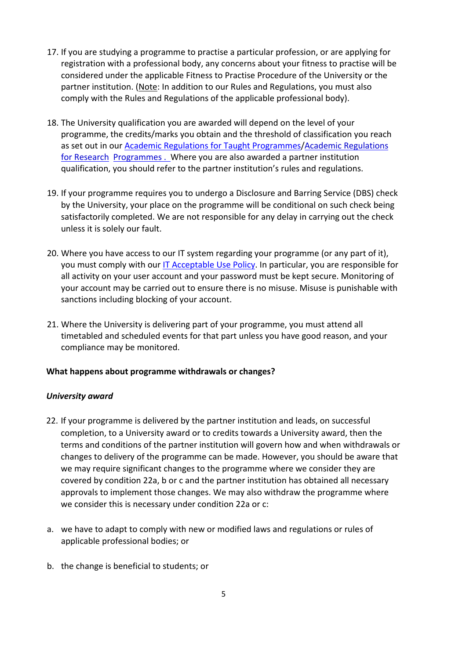- 17. If you are studying a programme to practise a particular profession, or are applying for registration with a professional body, any concerns about your fitness to practise will be considered under the applicable Fitness to Practise Procedure of the University or the partner institution. (Note: In addition to our Rules and Regulations, you must also comply with the Rules and Regulations of the applicable professional body).
- 18. The University qualification you are awarded will depend on the level of your programme, the credits/marks you obtain and the threshold of classification you reach as set out in ou[r](https://www.salford.ac.uk/student-terms-and-conditions) [Academic](https://www.salford.ac.uk/student-terms-and-conditions) [Regulations](https://www.salford.ac.uk/student-terms-and-conditions) [for](https://www.salford.ac.uk/student-terms-and-conditions) [Taught](https://www.salford.ac.uk/student-terms-and-conditions) [Programmes/Academic](https://www.salford.ac.uk/student-terms-and-conditions) [Regulations](https://www.salford.ac.uk/student-terms-and-conditions) [for](https://www.salford.ac.uk/student-terms-and-conditions) [Research](https://www.salford.ac.uk/student-terms-and-conditions) [Programmes](http://www.salford.ac.uk/__data/assets/pdf_file/0003/1258626/AcademicRegulationsResearch1718.pdf) [.](http://www.salford.ac.uk/__data/assets/pdf_file/0003/1258626/AcademicRegulationsResearch1718.pdf) Where you are also awarded a partner institution qualification, you should refer to the partner institution's rules and regulations.
- 19. If your programme requires you to undergo a Disclosure and Barring Service (DBS) check by the University, your place on the programme will be conditional on such check being satisfactorily completed. We are not responsible for any delay in carrying out the check unless it is solely our fault.
- 20. Where you have access to our IT system regarding your programme (or any part of it), you must comply with ou[r](http://www.salford.ac.uk/__data/assets/pdf_file/0009/664209/ICT-AUP.pdf) [IT](http://www.salford.ac.uk/__data/assets/pdf_file/0009/664209/ICT-AUP.pdf) [Acceptable](https://beta.salford.ac.uk/student-terms-and-conditions) [Use](http://www.salford.ac.uk/__data/assets/pdf_file/0009/664209/ICT-AUP.pdf) [Policy.](http://www.salford.ac.uk/__data/assets/pdf_file/0009/664209/ICT-AUP.pdf) In particular, you are responsible for all activity on your user account and your password must be kept secure. Monitoring of your account may be carried out to ensure there is no misuse. Misuse is punishable with sanctions including blocking of your account.
- 21. Where the University is delivering part of your programme, you must attend all timetabled and scheduled events for that part unless you have good reason, and your compliance may be monitored.

#### **What happens about programme withdrawals or changes?**

#### *University award*

- 22. If your programme is delivered by the partner institution and leads, on successful completion, to a University award or to credits towards a University award, then the terms and conditions of the partner institution will govern how and when withdrawals or changes to delivery of the programme can be made. However, you should be aware that we may require significant changes to the programme where we consider they are covered by condition 22a, b or c and the partner institution has obtained all necessary approvals to implement those changes. We may also withdraw the programme where we consider this is necessary under condition 22a or c:
- a. we have to adapt to comply with new or modified laws and regulations or rules of applicable professional bodies; or
- b. the change is beneficial to students; or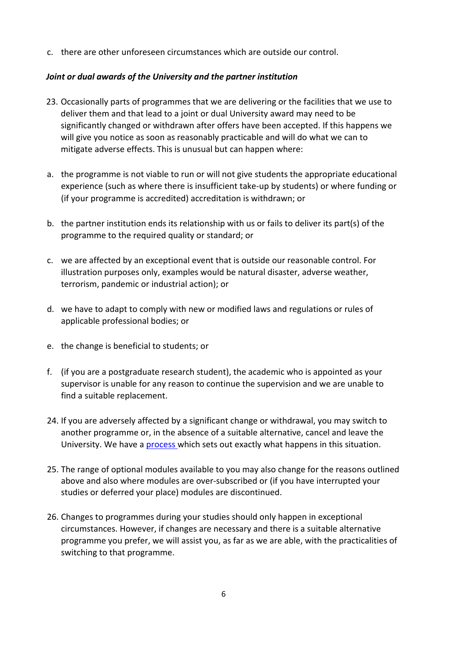c. there are other unforeseen circumstances which are outside our control.

### *Joint or dual awards of the University and the partner institution*

- 23. Occasionally parts of programmes that we are delivering or the facilities that we use to deliver them and that lead to a joint or dual University award may need to be significantly changed or withdrawn after offers have been accepted. If this happens we will give you notice as soon as reasonably practicable and will do what we can to mitigate adverse effects. This is unusual but can happen where:
- a. the programme is not viable to run or will not give students the appropriate educational experience (such as where there is insufficient take-up by students) or where funding or (if your programme is accredited) accreditation is withdrawn; or
- b. the partner institution ends its relationship with us or fails to deliver its part(s) of the programme to the required quality or standard; or
- c. we are affected by an exceptional event that is outside our reasonable control. For illustration purposes only, examples would be natural disaster, adverse weather, terrorism, pandemic or industrial action); or
- d. we have to adapt to comply with new or modified laws and regulations or rules of applicable professional bodies; or
- e. the change is beneficial to students; or
- f. (if you are a postgraduate research student), the academic who is appointed as your supervisor is unable for any reason to continue the supervision and we are unable to find a suitable replacement.
- 24. If you are adversely affected by a significant change or withdrawal, you may switch to another programme or, in the absence of a suitable alternative, cancel and leave the University. We have [a](https://www.salford.ac.uk/student-terms-and-conditions) [process](https://www.salford.ac.uk/student-terms-and-conditions) [wh](https://www.salford.ac.uk/student-terms-and-conditions)ich sets out exactly what happens in this situation.
- 25. The range of optional modules available to you may also change for the reasons outlined above and also where modules are over-subscribed or (if you have interrupted your studies or deferred your place) modules are discontinued.
- 26. Changes to programmes during your studies should only happen in exceptional circumstances. However, if changes are necessary and there is a suitable alternative programme you prefer, we will assist you, as far as we are able, with the practicalities of switching to that programme.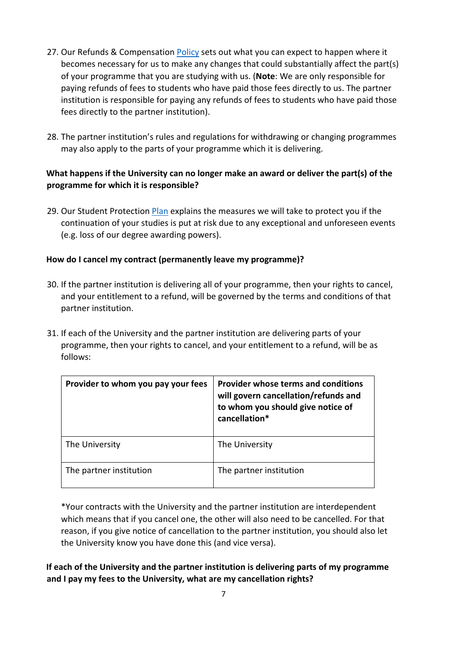- 27. Our Refunds & Compensation [Policy](https://www.salford.ac.uk/student-terms-and-conditions) sets out what you can expect to happen where it becomes necessary for us to make any changes that could substantially affect the part(s) of your programme that you are studying with us. (**Note**: We are only responsible for paying refunds of fees to students who have paid those fees directly to us. The partner institution is responsible for paying any refunds of fees to students who have paid those fees directly to the partner institution).
- 28. The partner institution's rules and regulations for withdrawing or changing programmes may also apply to the parts of your programme which it is delivering.

# **What happens if the University can no longer make an award or deliver the part(s) of the programme for which it is responsible?**

29. Our Student Protection [Plan](https://www.salford.ac.uk/student-terms-and-conditions) explains the measures we will take to protect you if the continuation of your studies is put at risk due to any exceptional and unforeseen events (e.g. loss of our degree awarding powers).

# **How do I cancel my contract (permanently leave my programme)?**

- 30. If the partner institution is delivering all of your programme, then your rights to cancel, and your entitlement to a refund, will be governed by the terms and conditions of that partner institution.
- 31. If each of the University and the partner institution are delivering parts of your programme, then your rights to cancel, and your entitlement to a refund, will be as follows:

| Provider to whom you pay your fees | Provider whose terms and conditions<br>will govern cancellation/refunds and<br>to whom you should give notice of<br>cancellation* |
|------------------------------------|-----------------------------------------------------------------------------------------------------------------------------------|
| The University                     | The University                                                                                                                    |
| The partner institution            | The partner institution                                                                                                           |

\*Your contracts with the University and the partner institution are interdependent which means that if you cancel one, the other will also need to be cancelled. For that reason, if you give notice of cancellation to the partner institution, you should also let the University know you have done this (and vice versa).

**If each of the University and the partner institution is delivering parts of my programme and I pay my fees to the University, what are my cancellation rights?**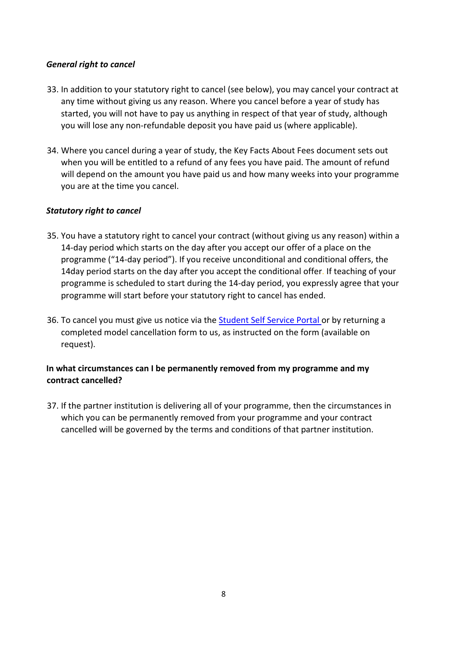### *General right to cancel*

- 33. In addition to your statutory right to cancel (see below), you may cancel your contract at any time without giving us any reason. Where you cancel before a year of study has started, you will not have to pay us anything in respect of that year of study, although you will lose any non-refundable deposit you have paid us (where applicable).
- 34. Where you cancel during a year of study, the Key Facts About Fees document sets out when you will be entitled to a refund of any fees you have paid. The amount of refund will depend on the amount you have paid us and how many weeks into your programme you are at the time you cancel.

### *Statutory right to cancel*

- 35. You have a statutory right to cancel your contract (without giving us any reason) within a 14-day period which starts on the day after you accept our offer of a place on the programme ("14-day period"). If you receive unconditional and conditional offers, the 14day period starts on the day after you accept the conditional offer. If teaching of your programme is scheduled to start during the 14-day period, you expressly agree that your programme will start before your statutory right to cancel has ended.
- 36. To cancel you must give us notice via the [Student](http://www.salford.ac.uk/students/self-service-for-students) [Self](http://www.salford.ac.uk/students/self-service-for-students) [Service](http://www.salford.ac.uk/students/self-service-for-students) [Portal](http://www.salford.ac.uk/students/self-service-for-students) [or](http://www.salford.ac.uk/students/self-service-for-students) by returning a completed model cancellation form to us, as instructed on the form (available on request).

# **In what circumstances can I be permanently removed from my programme and my contract cancelled?**

37. If the partner institution is delivering all of your programme, then the circumstances in which you can be permanently removed from your programme and your contract cancelled will be governed by the terms and conditions of that partner institution.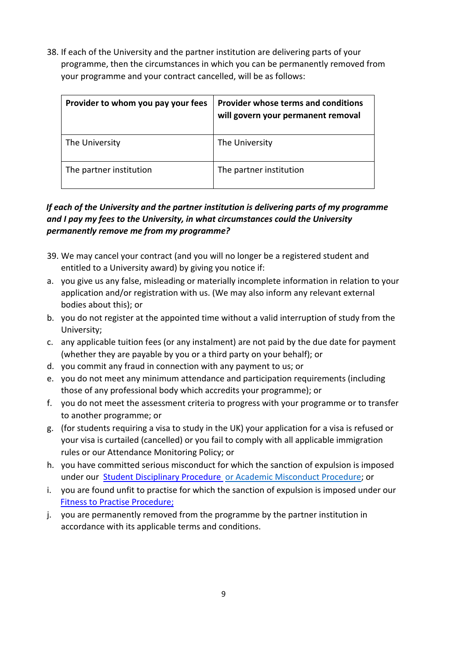38. If each of the University and the partner institution are delivering parts of your programme, then the circumstances in which you can be permanently removed from your programme and your contract cancelled, will be as follows:

| Provider to whom you pay your fees | Provider whose terms and conditions<br>will govern your permanent removal |
|------------------------------------|---------------------------------------------------------------------------|
| The University                     | The University                                                            |
| The partner institution            | The partner institution                                                   |

# *If each of the University and the partner institution is delivering parts of my programme and I pay my fees to the University, in what circumstances could the University permanently remove me from my programme?*

- 39. We may cancel your contract (and you will no longer be a registered student and entitled to a University award) by giving you notice if:
- a. you give us any false, misleading or materially incomplete information in relation to your application and/or registration with us. (We may also inform any relevant external bodies about this); or
- b. you do not register at the appointed time without a valid interruption of study from the University;
- c. any applicable tuition fees (or any instalment) are not paid by the due date for payment (whether they are payable by you or a third party on your behalf); or
- d. you commit any fraud in connection with any payment to us; or
- e. you do not meet any minimum attendance and participation requirements (including those of any professional body which accredits your programme); or
- f. you do not meet the assessment criteria to progress with your programme or to transfer to another programme; or
- g. (for students requiring a visa to study in the UK) your application for a visa is refused or your visa is curtailed (cancelled) or you fail to comply with all applicable immigration rules or our Attendance Monitoring Policy; or
- h. you have committed serious misconduct for which the sanction of expulsion is imposed under our **Student [Disciplinary](https://www.salford.ac.uk/student-terms-and-conditions) [Procedure](https://www.salford.ac.uk/student-terms-and-conditions)** [or](https://www.salford.ac.uk/student-terms-and-conditions) [Academic](https://www.salford.ac.uk/student-terms-and-conditions) [Misconduct Procedure;](https://www.salford.ac.uk/student-terms-and-conditions) or
- i. you are found unfit to practise for which the sanction of expulsion is imposed under our [Fitness](https://www.salford.ac.uk/student-terms-and-conditions) [to](https://www.salford.ac.uk/student-terms-and-conditions) [Practise](https://www.salford.ac.uk/student-terms-and-conditions) [Procedure;](https://www.salford.ac.uk/student-terms-and-conditions)
- j. you are permanently removed from the programme by the partner institution in accordance with its applicable terms and conditions.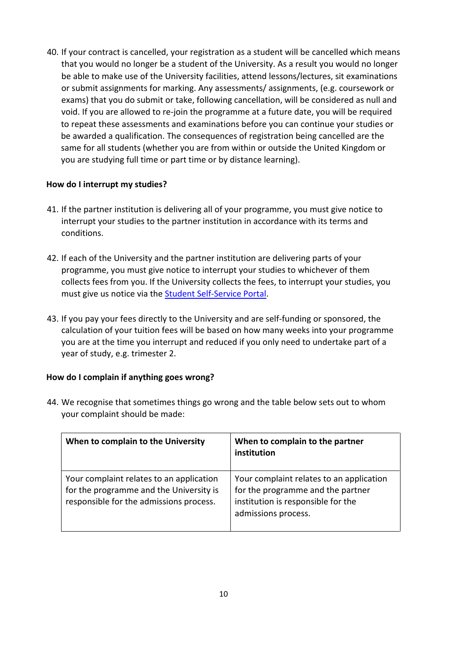40. If your contract is cancelled, your registration as a student will be cancelled which means that you would no longer be a student of the University. As a result you would no longer be able to make use of the University facilities, attend lessons/lectures, sit examinations or submit assignments for marking. Any assessments/ assignments, (e.g. coursework or exams) that you do submit or take, following cancellation, will be considered as null and void. If you are allowed to re-join the programme at a future date, you will be required to repeat these assessments and examinations before you can continue your studies or be awarded a qualification. The consequences of registration being cancelled are the same for all students (whether you are from within or outside the United Kingdom or you are studying full time or part time or by distance learning).

### **How do I interrupt my studies?**

- 41. If the partner institution is delivering all of your programme, you must give notice to interrupt your studies to the partner institution in accordance with its terms and conditions.
- 42. If each of the University and the partner institution are delivering parts of your programme, you must give notice to interrupt your studies to whichever of them collects fees from you. If the University collects the fees, to interrupt your studies, you must give us notice via the [Student](http://www.salford.ac.uk/students/self-service-for-students) [Self-Service](http://www.salford.ac.uk/students/self-service-for-students) [Portal.](http://www.salford.ac.uk/students/self-service-for-students)
- 43. If you pay your fees directly to the University and are self-funding or sponsored, the calculation of your tuition fees will be based on how many weeks into your programme you are at the time you interrupt and reduced if you only need to undertake part of a year of study, e.g. trimester 2.

## **How do I complain if anything goes wrong?**

| When to complain to the University                                                                                             | When to complain to the partner<br>institution                                                                                             |
|--------------------------------------------------------------------------------------------------------------------------------|--------------------------------------------------------------------------------------------------------------------------------------------|
| Your complaint relates to an application<br>for the programme and the University is<br>responsible for the admissions process. | Your complaint relates to an application<br>for the programme and the partner<br>institution is responsible for the<br>admissions process. |

44. We recognise that sometimes things go wrong and the table below sets out to whom your complaint should be made: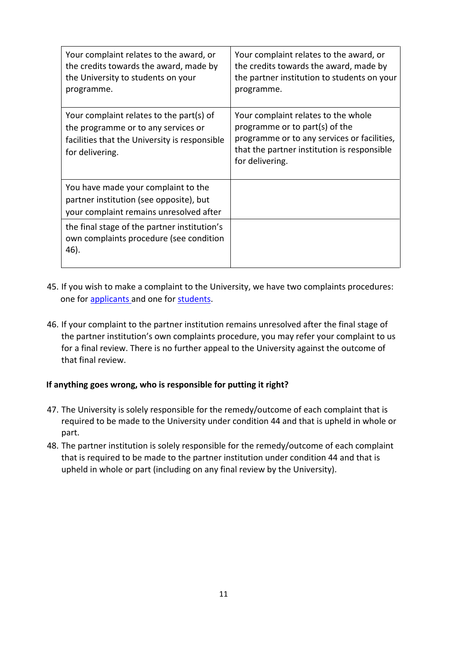| Your complaint relates to the award, or<br>the credits towards the award, made by<br>the University to students on your<br>programme.               | Your complaint relates to the award, or<br>the credits towards the award, made by<br>the partner institution to students on your<br>programme.                                         |
|-----------------------------------------------------------------------------------------------------------------------------------------------------|----------------------------------------------------------------------------------------------------------------------------------------------------------------------------------------|
| Your complaint relates to the part(s) of<br>the programme or to any services or<br>facilities that the University is responsible<br>for delivering. | Your complaint relates to the whole<br>programme or to part(s) of the<br>programme or to any services or facilities,<br>that the partner institution is responsible<br>for delivering. |
| You have made your complaint to the<br>partner institution (see opposite), but<br>your complaint remains unresolved after                           |                                                                                                                                                                                        |
| the final stage of the partner institution's<br>own complaints procedure (see condition<br>46).                                                     |                                                                                                                                                                                        |

- 45. If you wish to make a complaint to the University, we have two complaints procedures: one fo[r](https://www.salford.ac.uk/student-terms-and-conditions) [applicants](https://www.salford.ac.uk/student-terms-and-conditions) [an](https://www.salford.ac.uk/student-terms-and-conditions)d one for [students.](https://www.salford.ac.uk/student-terms-and-conditions)
- 46. If your complaint to the partner institution remains unresolved after the final stage of the partner institution's own complaints procedure, you may refer your complaint to us for a final review. There is no further appeal to the University against the outcome of that final review.

#### **If anything goes wrong, who is responsible for putting it right?**

- 47. The University is solely responsible for the remedy/outcome of each complaint that is required to be made to the University under condition 44 and that is upheld in whole or part.
- 48. The partner institution is solely responsible for the remedy/outcome of each complaint that is required to be made to the partner institution under condition 44 and that is upheld in whole or part (including on any final review by the University).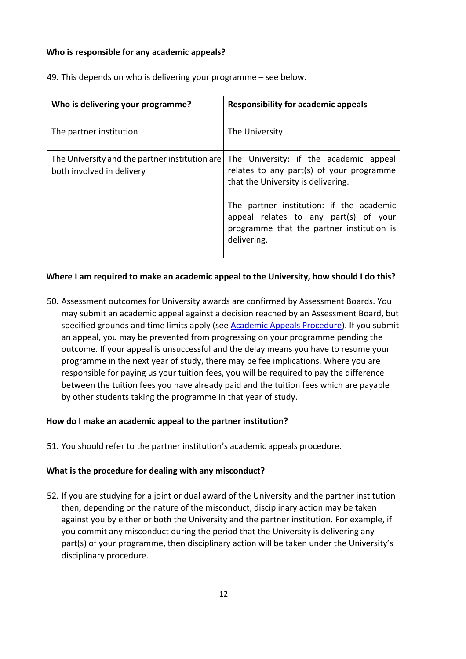#### **Who is responsible for any academic appeals?**

| Who is delivering your programme?                                           | Responsibility for academic appeals                                                                                                           |
|-----------------------------------------------------------------------------|-----------------------------------------------------------------------------------------------------------------------------------------------|
| The partner institution                                                     | The University                                                                                                                                |
| The University and the partner institution are<br>both involved in delivery | The University: if the academic appeal<br>relates to any part(s) of your programme<br>that the University is delivering.                      |
|                                                                             | The partner institution: if the academic<br>appeal relates to any part(s) of your<br>programme that the partner institution is<br>delivering. |

49. This depends on who is delivering your programme – see below.

#### **Where I am required to make an academic appeal to the University, how should I do this?**

50. Assessment outcomes for University awards are confirmed by Assessment Boards. You may submit an academic appeal against a decision reached by an Assessment Board, but specified grounds and time limits apply (see [Academic](https://www.salford.ac.uk/student-terms-and-conditions) [Appeals](https://www.salford.ac.uk/student-terms-and-conditions) [Procedure\).](https://www.salford.ac.uk/student-terms-and-conditions) If you submit an appeal, you may be prevented from progressing on your programme pending the outcome. If your appeal is unsuccessful and the delay means you have to resume your programme in the next year of study, there may be fee implications. Where you are responsible for paying us your tuition fees, you will be required to pay the difference between the tuition fees you have already paid and the tuition fees which are payable by other students taking the programme in that year of study.

#### **How do I make an academic appeal to the partner institution?**

51. You should refer to the partner institution's academic appeals procedure.

#### **What is the procedure for dealing with any misconduct?**

52. If you are studying for a joint or dual award of the University and the partner institution then, depending on the nature of the misconduct, disciplinary action may be taken against you by either or both the University and the partner institution. For example, if you commit any misconduct during the period that the University is delivering any part(s) of your programme, then disciplinary action will be taken under the University's disciplinary procedure.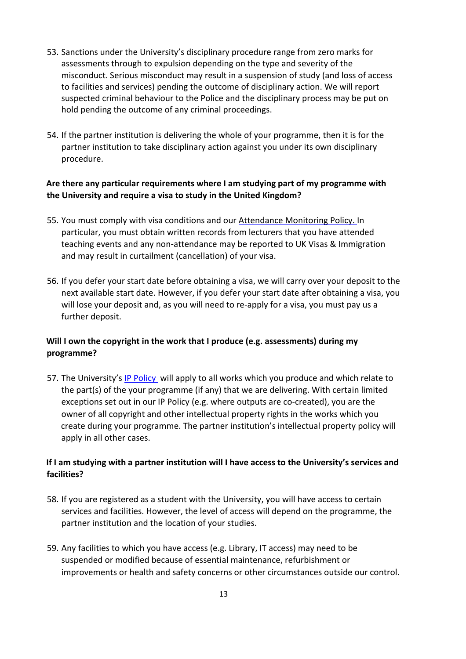- 53. Sanctions under the University's disciplinary procedure range from zero marks for assessments through to expulsion depending on the type and severity of the misconduct. Serious misconduct may result in a suspension of study (and loss of access to facilities and services) pending the outcome of disciplinary action. We will report suspected criminal behaviour to the Police and the disciplinary process may be put on hold pending the outcome of any criminal proceedings.
- 54. If the partner institution is delivering the whole of your programme, then it is for the partner institution to take disciplinary action against you under its own disciplinary procedure.

## **Are there any particular requirements where I am studying part of my programme with the University and require a visa to study in the United Kingdom?**

- 55. You must comply with visa conditions and ou[r](https://www.salford.ac.uk/student-terms-and-conditions) [Attendance](https://www.salford.ac.uk/student-terms-and-conditions) [Monitoring](https://www.salford.ac.uk/student-terms-and-conditions) [Policy.](https://www.salford.ac.uk/student-terms-and-conditions) [In](https://www.salford.ac.uk/student-terms-and-conditions) particular, you must obtain written records from lecturers that you have attended teaching events and any non-attendance may be reported to UK Visas & Immigration and may result in curtailment (cancellation) of your visa.
- 56. If you defer your start date before obtaining a visa, we will carry over your deposit to the next available start date. However, if you defer your start date after obtaining a visa, you will lose your deposit and, as you will need to re-apply for a visa, you must pay us a further deposit.

# **Will I own the copyright in the work that I produce (e.g. assessments) during my programme?**

57. The University's [IP](https://www.salford.ac.uk/student-terms-and-conditions) [Policy w](https://www.salford.ac.uk/student-terms-and-conditions)ill apply to all works which you produce and which relate to the part(s) of the your programme (if any) that we are delivering. With certain limited exceptions set out in our IP Policy (e.g. where outputs are co-created), you are the owner of all copyright and other intellectual property rights in the works which you create during your programme. The partner institution's intellectual property policy will apply in all other cases.

# **If I am studying with a partner institution will I have access to the University's services and facilities?**

- 58. If you are registered as a student with the University, you will have access to certain services and facilities. However, the level of access will depend on the programme, the partner institution and the location of your studies.
- 59. Any facilities to which you have access (e.g. Library, IT access) may need to be suspended or modified because of essential maintenance, refurbishment or improvements or health and safety concerns or other circumstances outside our control.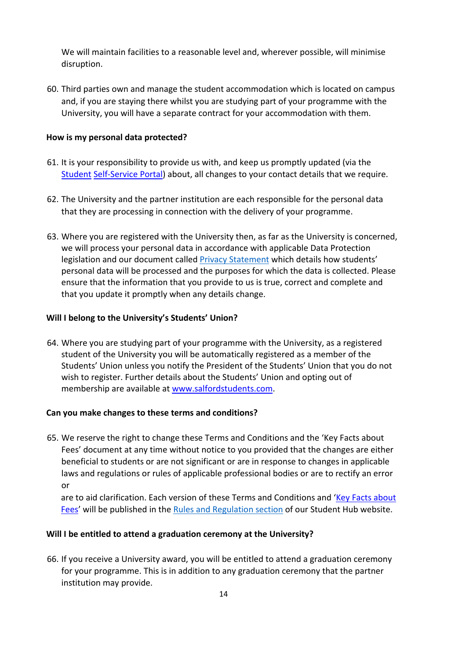We will maintain facilities to a reasonable level and, wherever possible, will minimise disruption.

60. Third parties own and manage the student accommodation which is located on campus and, if you are staying there whilst you are studying part of your programme with the University, you will have a separate contract for your accommodation with them.

#### **How is my personal data protected?**

- 61. It is your responsibility to provide us with, and keep us promptly updated (via th[e](http://www.salford.ac.uk/students/self-service-for-students) [Student](http://www.salford.ac.uk/students/self-service-for-students) [Self-Service](http://www.salford.ac.uk/students/self-service-for-students) [Portal\)](http://www.salford.ac.uk/students/self-service-for-students) about, all changes to your contact details that we require.
- 62. The University and the partner institution are each responsible for the personal data that they are processing in connection with the delivery of your programme.
- 63. Where you are registered with the University then, as far as the University is concerned, we will process your personal data in accordance with applicable Data Protection legislation and our document called [Privacy Statement](https://www.salford.ac.uk/privacy/privacy-notice-students) which details how students' personal data will be processed and the purposes for which the data is collected. Please ensure that the information that you provide to us is true, correct and complete and that you update it promptly when any details change.

## **Will I belong to the University's Students' Union?**

64. Where you are studying part of your programme with the University, as a registered student of the University you will be automatically registered as a member of the Students' Union unless you notify the President of the Students' Union that you do not wish to register. Further details about the Students' Union and opting out of membership are available a[t](http://www.salfordstudents.com/) [www.salfordstudents.com.](http://www.salfordstudents.com/) 

#### **Can you make changes to these terms and conditions?**

65. We reserve the right to change these Terms and Conditions and the 'Key Facts about Fees' document at any time without notice to you provided that the changes are either beneficial to students or are not significant or are in response to changes in applicable laws and regulations or rules of applicable professional bodies or are to rectify an error or

are to aid clarification. Each version of these Terms and Conditions and ['Key](https://www.salford.ac.uk/student-terms-and-conditions) [Facts](https://www.salford.ac.uk/student-terms-and-conditions) [about](https://www.salford.ac.uk/student-terms-and-conditions) [Fees'](https://www.salford.ac.uk/student-terms-and-conditions) will be published in the [Rules](https://www.salford.ac.uk/student-terms-and-conditions) [and](https://www.salford.ac.uk/student-terms-and-conditions) [Regulati](https://www.salford.ac.uk/student-terms-and-conditions)[o](https://beta.salford.ac.uk/student-terms-and-conditions)[n](https://www.salford.ac.uk/student-terms-and-conditions) [section](https://www.salford.ac.uk/student-terms-and-conditions) [o](https://www.salford.ac.uk/student-terms-and-conditions)f our Student Hub website.

## **Will I be entitled to attend a graduation ceremony at the University?**

66. If you receive a University award, you will be entitled to attend a graduation ceremony for your programme. This is in addition to any graduation ceremony that the partner institution may provide.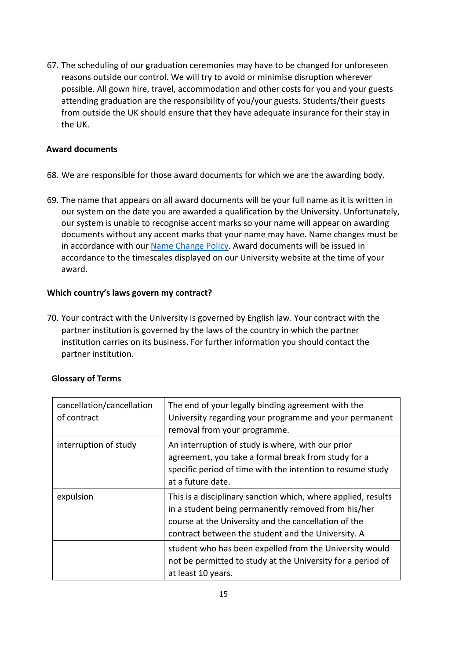67. The scheduling of our graduation ceremonies may have to be changed for unforeseen reasons outside our control. We will try to avoid or minimise disruption wherever possible. All gown hire, travel, accommodation and other costs for you and your guests attending graduation are the responsibility of you/your guests. Students/their guests from outside the UK should ensure that they have adequate insurance for their stay in the UK.

### **Award documents**

- 68. We are responsible for those award documents for which we are the awarding body.
- 69. The name that appears on all award documents will be your full name as it is written in our system on the date you are awarded a qualification by the University. Unfortunately, our system is unable to recognise accent marks so your name will appear on awarding documents without any accent marks that your name may have. Name changes must be in accordance with ou[r Name Change Policy](https://beta.salford.ac.uk/student-terms-and-conditions)[.](https://www.salford.ac.uk/sites/default/files/2020-07/StudentNameChangePolicy.pdf) Award documents will be issued in accordance to the timescales displayed on our University website at the time of your award.

### **Which country's laws govern my contract?**

70. Your contract with the University is governed by English law. Your contract with the partner institution is governed by the laws of the country in which the partner institution carries on its business. For further information you should contact the partner institution.

| cancellation/cancellation<br>of contract | The end of your legally binding agreement with the<br>University regarding your programme and your permanent<br>removal from your programme.                                                                                       |
|------------------------------------------|------------------------------------------------------------------------------------------------------------------------------------------------------------------------------------------------------------------------------------|
| interruption of study                    | An interruption of study is where, with our prior<br>agreement, you take a formal break from study for a<br>specific period of time with the intention to resume study<br>at a future date.                                        |
| expulsion                                | This is a disciplinary sanction which, where applied, results<br>in a student being permanently removed from his/her<br>course at the University and the cancellation of the<br>contract between the student and the University. A |
|                                          | student who has been expelled from the University would<br>not be permitted to study at the University for a period of<br>at least 10 years.                                                                                       |

## **Glossary of Terms**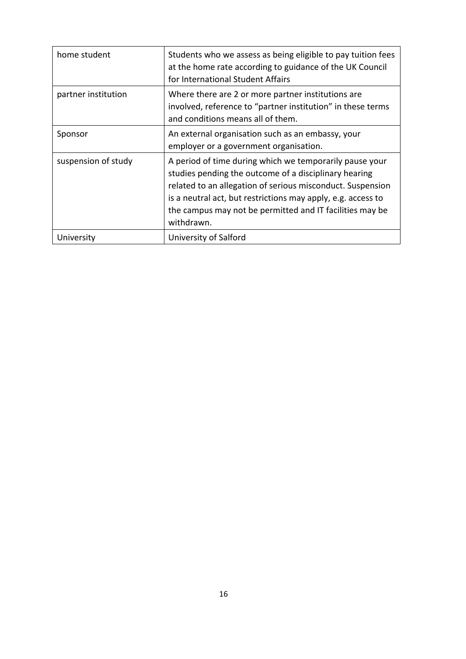| home student        | Students who we assess as being eligible to pay tuition fees<br>at the home rate according to guidance of the UK Council<br>for International Student Affairs                                                                                                                                                            |
|---------------------|--------------------------------------------------------------------------------------------------------------------------------------------------------------------------------------------------------------------------------------------------------------------------------------------------------------------------|
| partner institution | Where there are 2 or more partner institutions are<br>involved, reference to "partner institution" in these terms<br>and conditions means all of them.                                                                                                                                                                   |
| Sponsor             | An external organisation such as an embassy, your<br>employer or a government organisation.                                                                                                                                                                                                                              |
| suspension of study | A period of time during which we temporarily pause your<br>studies pending the outcome of a disciplinary hearing<br>related to an allegation of serious misconduct. Suspension<br>is a neutral act, but restrictions may apply, e.g. access to<br>the campus may not be permitted and IT facilities may be<br>withdrawn. |
| University          | University of Salford                                                                                                                                                                                                                                                                                                    |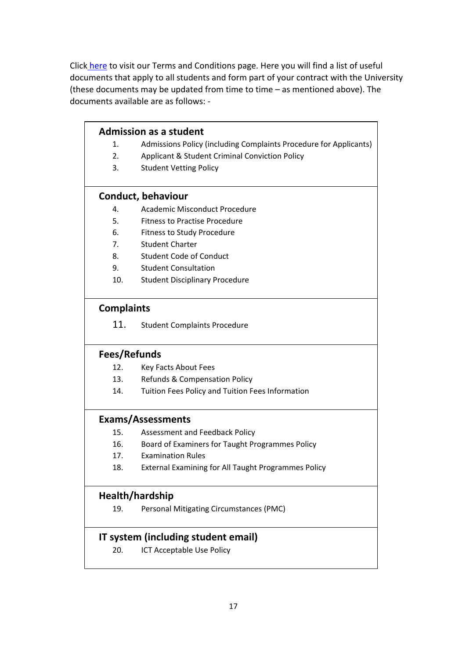Clic[k](https://beta.salford.ac.uk/student-terms-and-conditions) [here](https://beta.salford.ac.uk/student-terms-and-conditions) [t](https://beta.salford.ac.uk/student-terms-and-conditions)o visit our Terms and Conditions page. Here you will find a list of useful documents that apply to all students and form part of your contract with the University (these documents may be updated from time to time – as mentioned above). The documents available are as follows: -

| <b>Admission as a student</b> |                                                                   |  |  |
|-------------------------------|-------------------------------------------------------------------|--|--|
| 1.                            | Admissions Policy (including Complaints Procedure for Applicants) |  |  |
| 2.                            | Applicant & Student Criminal Conviction Policy                    |  |  |
| 3.                            | <b>Student Vetting Policy</b>                                     |  |  |
|                               |                                                                   |  |  |
|                               | Conduct, behaviour                                                |  |  |
| 4.                            | Academic Misconduct Procedure                                     |  |  |
| 5.                            | <b>Fitness to Practise Procedure</b>                              |  |  |
| 6.                            | <b>Fitness to Study Procedure</b>                                 |  |  |
| 7.                            | <b>Student Charter</b>                                            |  |  |
| 8.                            | <b>Student Code of Conduct</b>                                    |  |  |
| 9.                            | <b>Student Consultation</b>                                       |  |  |
| 10.                           | <b>Student Disciplinary Procedure</b>                             |  |  |
|                               |                                                                   |  |  |
| <b>Complaints</b>             |                                                                   |  |  |
| 11.                           | <b>Student Complaints Procedure</b>                               |  |  |
| Fees/Refunds                  |                                                                   |  |  |
| 12.                           | Key Facts About Fees                                              |  |  |
| 13.                           | Refunds & Compensation Policy                                     |  |  |
| 14.                           | Tuition Fees Policy and Tuition Fees Information                  |  |  |
|                               |                                                                   |  |  |
|                               | <b>Exams/Assessments</b>                                          |  |  |
| 15.                           | Assessment and Feedback Policy                                    |  |  |
| 16.                           | Board of Examiners for Taught Programmes Policy                   |  |  |
| 17.                           | <b>Examination Rules</b>                                          |  |  |
| 18.                           | External Examining for All Taught Programmes Policy               |  |  |
| Health/hardship               |                                                                   |  |  |
| 19.                           | Personal Mitigating Circumstances (PMC)                           |  |  |
|                               | IT system (including student email)                               |  |  |
| 20.                           | <b>ICT Acceptable Use Policy</b>                                  |  |  |
|                               |                                                                   |  |  |